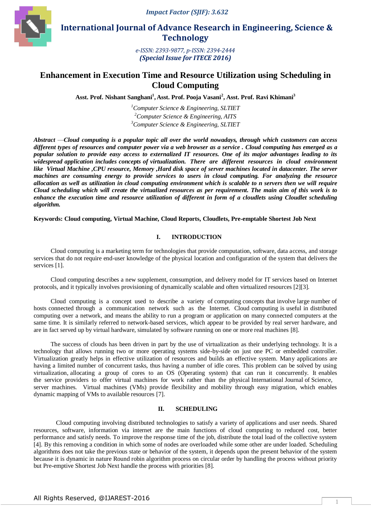*Impact Factor (SJIF): 3.632*



 **International Journal of Advance Research in Engineering, Science & Technology** 

> *e-ISSN: 2393-9877, p-ISSN: 2394-2444 (Special Issue for ITECE 2016)*

# **Enhancement in Execution Time and Resource Utilization using Scheduling in Cloud Computing**

**Asst. Prof. Nishant Sanghani<sup>1</sup> , Asst. Prof. Pooja Vasani<sup>2</sup> , Asst. Prof. Ravi Khimani<sup>3</sup>**

*<sup>1</sup>Computer Science & Engineering, SLTIET <sup>2</sup>Computer Science & Engineering, AITS <sup>3</sup>Computer Science & Engineering, SLTIET*

*Abstract* —*Cloud computing is a popular topic all over the world nowadays, through which customers can access different types of resources and computer power via a web browser as a service . Cloud computing has emerged as a popular solution to provide easy access to externalized IT resources. One of its major advantages leading to its widespread application includes concepts of virtualization. There are different resources in cloud environment like Virtual Machine ,CPU resource, Memory ,Hard disk space of server machines located in datacenter. The server machines are consuming energy to provide services to users in cloud computing. For analyzing the resource allocation as well as utilization in cloud computing environment which is scalable to n servers then we will require Cloud scheduling which will create the virtualized resources as per requirement. The main aim of this work is to enhance the execution time and resource utilization of different in form of a cloudlets using Cloudlet scheduling algorithm.*

**Keywords: Cloud computing, Virtual Machine, Cloud Reports, Cloudlets, Pre-emptable Shortest Job Next**

# **I. INTRODUCTION**

Cloud computing is a marketing term for technologies that provide computation, software, data access, and storage services that do not require end-user knowledge of the physical location and configuration of the system that delivers the services [1].

Cloud computing describes a new supplement, consumption, and delivery model for [IT](http://en.wikipedia.org/wiki/Information_technology) services based on Internet protocols, and it typically involves provisioning of dynamically [scalable](http://en.wikipedia.org/wiki/Scalability) and ofte[n virtualized](http://en.wikipedia.org/wiki/Virtualization) resources [2][3].

Cloud computing is a concept used to describe a variety of computing concepts that involve large number of hosts connected through a communication network such as the Internet. Cloud computing is useful in distributed computing over a network, and means the ability to run a program or application on many connected computers at the same time. It is similarly referred to network-based services, which appear to be provided by real server hardware, and are in fact served up by virtual hardware, simulated by software running on one or more real machines [8].

The success of clouds has been driven in part by the use of virtualization as their underlying technology. It is a technology that allows running two or more operating systems side-by-side on just one PC or embedded controller. Virtualization greatly helps in effective utilization of resources and builds an effective system. Many applications are having a limited number of concurrent tasks, thus having a number of idle cores. This problem can be solved by using virtualization, allocating a group of cores to an OS (Operating system) that can run it concurrently. It enables the service providers to offer virtual machines for work rather than the physical International Journal of Science, server machines. Virtual machines (VMs) provide flexibility and mobility through easy migration, which enables dynamic mapping of VMs to available resources [7].

### **II. SCHEDULING**

Cloud computing involving distributed technologies to satisfy a variety of applications and user needs. Shared resources, software, information via internet are the main functions of cloud computing to reduced cost, better performance and satisfy needs. To improve the response time of the job, distribute the total load of the collective system [4]. By this removing a condition in which some of nodes are overloaded while some other are under loaded. Scheduling algorithms does not take the previous state or behavior of the system, it depends upon the present behavior of the system because it is dynamic in nature Round robin algorithm process on circular order by handling the process without priority but Pre-emptive Shortest Job Next handle the process with priorities [8].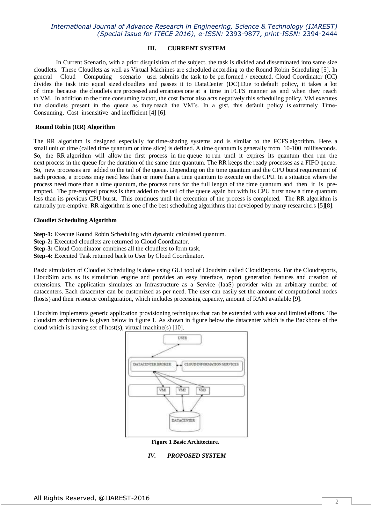## **III. CURRENT SYSTEM**

In Current Scenario, with a prior disquisition of the subject, the task is divided and disseminated into same size cloudlets. These Cloudlets as well as Virtual Machines are scheduled according to the Round Robin Scheduling [5]. In general Cloud Computing scenario user submits the task to be performed / executed. Cloud Coordinator (CC) divides the task into equal sized cloudlets and passes it to DataCenter (DC).Due to default policy, it takes a lot of time because the cloudlets are processed and emanates one at a time in FCFS manner as and when they reach to VM. In addition to the time consuming factor, the cost factor also acts negatively this scheduling policy. VM executes the cloudlets present in the queue as they reach the VM's. In a gist, this default policy is extremely Time-Consuming, Cost insensitive and inefficient [4] [6].

#### **Round Robin (RR) Algorithm**

The RR algorithm is designed especially for time-sharing systems and is similar to the FCFS algorithm. Here, a small unit of time (called time quantum or time slice) is defined. A time quantum is generally from 10-100 milliseconds. So, the RR algorithm will allow the first process in the queue to run until it expires its quantum then run the next process in the queue for the duration of the same time quantum. The RR keeps the ready processes as a FIFO queue. So, new processes are added to the tail of the queue. Depending on the time quantum and the CPU burst requirement of each process, a process may need less than or more than a time quantum to execute on the CPU. In a situation where the process need more than a time quantum, the process runs for the full length of the time quantum and then it is preempted. The pre-empted process is then added to the tail of the queue again but with its CPU burst now a time quantum less than its previous CPU burst. This continues until the execution of the process is completed. The RR algorithm is naturally pre-emptive. RR algorithm is one of the best scheduling algorithms that developed by many researchers [5][8].

### **Cloudlet Scheduling Algorithm**

**Step-1:** Execute Round Robin Scheduling with dynamic calculated quantum.

- **Step-2:** Executed cloudlets are returned to Cloud Coordinator.
- **Step-3:** Cloud Coordinator combines all the cloudlets to form task.
- **Step-4:** Executed Task returned back to User by Cloud Coordinator.

Basic simulation of Cloudlet Scheduling is done using GUI tool of Cloudsim called CloudReports. For the Cloudreports, CloudSim acts as its simulation engine and provides an easy interface, report generation features and creation of extensions. The application simulates an Infrastructure as a Service (IaaS) provider with an arbitrary number of datacenters. Each datacenter can be customized as per need. The user can easily set the amount of computational nodes (hosts) and their resource configuration, which includes processing capacity, amount of RAM available [9].

Cloudsim implements generic application provisioning techniques that can be extended with ease and limited efforts. The cloudsim architecture is given below in figure 1. As shown in figure below the datacenter which is the Backbone of the cloud which is having set of host(s), virtual machine(s) [10].



**Figure 1 Basic Architecture.**

## *IV. PROPOSED SYSTEM*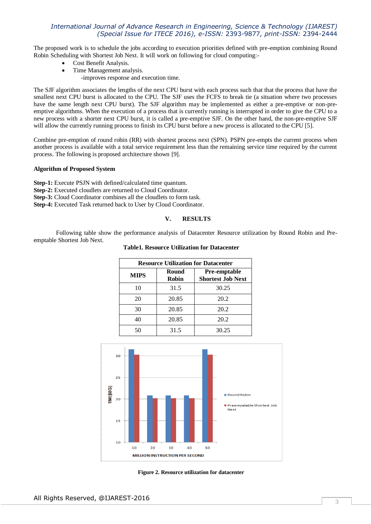The proposed work is to schedule the jobs according to execution priorities defined with pre-emption combining Round Robin Scheduling with Shortest Job Next. It will work on following for cloud computing:-

- Cost Benefit Analysis.
- Time Management analysis.
	- -improves response and execution time.

The SJF algorithm associates the lengths of the next CPU burst with each process such that that the process that have the smallest next CPU burst is allocated to the CPU. The SJF uses the FCFS to break tie (a situation where two processes have the same length next CPU burst). The SJF algorithm may be implemented as either a pre-emptive or non-preemptive algorithms. When the execution of a process that is currently running is interrupted in order to give the CPU to a new process with a shorter next CPU burst, it is called a pre-emptive SJF. On the other hand, the non-pre-emptive SJF will allow the currently running process to finish its CPU burst before a new process is allocated to the CPU [5].

Combine pre-emption of round robin (RR) with shortest process next (SPN). PSPN pre-empts the current process when another process is available with a total service requirement less than the remaining service time required by the current process. The following is proposed architecture shown [9].

#### **Algorithm of Proposed System**

**Step-1:** Execute PSJN with defined/calculated time quantum. **Step-2:** Executed cloudlets are returned to Cloud Coordinator. **Step-3:** Cloud Coordinator combines all the cloudlets to form task.

**Step-4:** Executed Task returned back to User by Cloud Coordinator.

#### **V. RESULTS**

Following table show the performance analysis of Datacenter Resource utilization by Round Robin and Preemptable Shortest Job Next.

**Table1. Resource Utilization for Datacenter**

| <b>Resource Utilization for Datacenter</b> |                       |                                                 |  |
|--------------------------------------------|-----------------------|-------------------------------------------------|--|
| <b>MIPS</b>                                | Round<br><b>Robin</b> | <b>Pre-emptable</b><br><b>Shortest Job Next</b> |  |
| 10                                         | 31.5                  | 30.25                                           |  |
| 20                                         | 20.85                 | 20.2                                            |  |
| 30                                         | 20.85                 | 20.2                                            |  |
| 40                                         | 20.85                 | 20.2                                            |  |
| 50                                         | 31.5                  | 30.25                                           |  |





**Figure 2. Resource utilization for datacenter**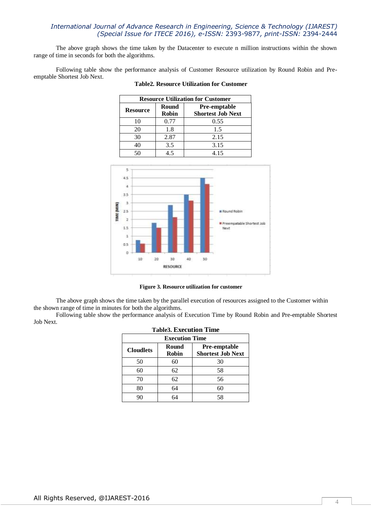The above graph shows the time taken by the Datacenter to execute n million instructions within the shown range of time in seconds for both the algorithms.

Following table show the performance analysis of Customer Resource utilization by Round Robin and Preemptable Shortest Job Next.

| <b>Resource Utilization for Customer</b> |                       |                                                 |  |
|------------------------------------------|-----------------------|-------------------------------------------------|--|
| <b>Resource</b>                          | Round<br><b>Robin</b> | <b>Pre-emptable</b><br><b>Shortest Job Next</b> |  |
| 10                                       | 0.77                  | 0.55                                            |  |
| 20                                       | 1.8                   | 1.5                                             |  |
| 30                                       | 2.87                  | 2.15                                            |  |
| 40                                       | 3.5                   | 3.15                                            |  |
|                                          | 15                    | 4.15                                            |  |





**Figure 3. Resource utilization for customer**

The above graph shows the time taken by the parallel execution of resources assigned to the Customer within the shown range of time in minutes for both the algorithms.

Following table show the performance analysis of Execution Time by Round Robin and Pre-emptable Shortest Job Next. **Table3. Execution Ti** 

| Tables. Execution Time<br><b>Execution Time</b> |                       |                                                 |  |  |
|-------------------------------------------------|-----------------------|-------------------------------------------------|--|--|
| <b>Cloudlets</b>                                | Round<br><b>Robin</b> | <b>Pre-emptable</b><br><b>Shortest Job Next</b> |  |  |
| 50                                              | 60                    | 30                                              |  |  |
| 60                                              | 62                    | 58                                              |  |  |
| 70                                              | 62                    | 56                                              |  |  |
| 80                                              | 64                    | 60                                              |  |  |
| 90                                              | 64                    | 58                                              |  |  |